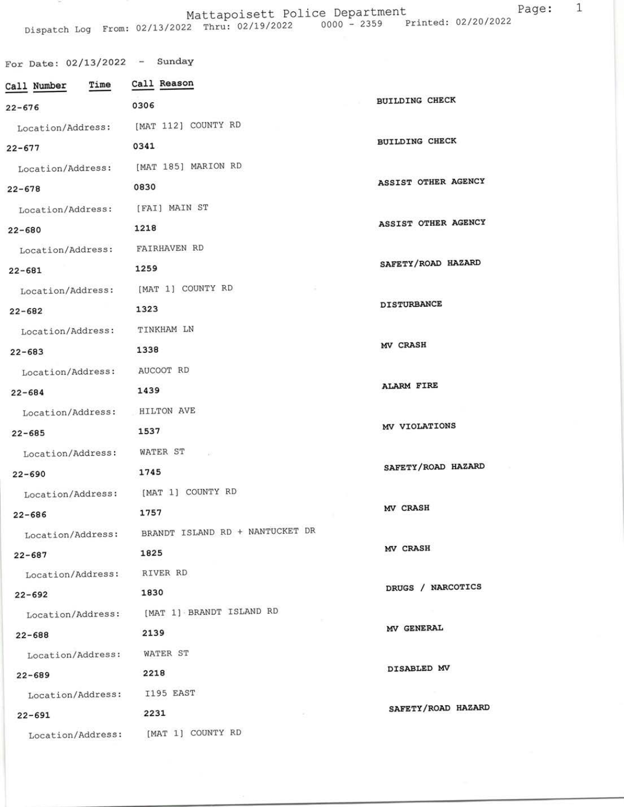Mattapoisett Police Department Page: 1<br>Dispatch Log From: 02/13/2022 Thru: 02/19/2022 0000 - 2359 Printed: 02/20/2022

| For Date: $02/13/2022$ - Sunday |                                                   |                       |
|---------------------------------|---------------------------------------------------|-----------------------|
| Time<br>Call Number             | Call Reason                                       |                       |
| $22 - 676$                      | 0306                                              | <b>BUILDING CHECK</b> |
| Location/Address:               | [MAT 112] COUNTY RD                               |                       |
| $22 - 677$                      | 0341                                              | <b>BUILDING CHECK</b> |
| Location/Address:               | [MAT 185] MARION RD                               |                       |
| $22 - 678$                      | 0830                                              | ASSIST OTHER AGENCY   |
| Location/Address:               | [FAI] MAIN ST                                     |                       |
| $22 - 680$                      | 1218                                              | ASSIST OTHER AGENCY   |
| Location/Address:               | FAIRHAVEN RD                                      |                       |
| $22 - 681$                      | 1259                                              | SAFETY/ROAD HAZARD    |
| Location/Address:               | [MAT 1] COUNTY RD                                 |                       |
| $22 - 682$                      | 1323                                              | <b>DISTURBANCE</b>    |
| Location/Address:               | TINKHAM LN                                        |                       |
| $22 - 683$                      | 1338                                              | MV CRASH              |
| Location/Address:               | AUCOOT RD                                         |                       |
| $22 - 684$                      | 1439                                              | <b>ALARM FIRE</b>     |
| Location/Address:               | HILTON AVE                                        |                       |
| $22 - 685$                      | 1537                                              | MV VIOLATIONS         |
| Location/Address:               | WATER ST                                          |                       |
| $22 - 690$                      | 1745                                              | SAFETY/ROAD HAZARD    |
| Location/Address:               | [MAT 1] COUNTY RD                                 |                       |
| $22 - 686$                      | 1757                                              | MV CRASH              |
|                                 | Location/Address: BRANDT ISLAND RD + NANTUCKET DR |                       |
| $22 - 687$                      | 1825                                              | MV CRASH              |
| Location/Address:               | RIVER RD                                          | DRUGS / NARCOTICS     |
| $22 - 692$                      | 1830                                              |                       |
| Location/Address:               | [MAT 1] BRANDT ISLAND RD                          |                       |
| $22 - 688$                      | 2139                                              | MV GENERAL            |
| Location/Address:               | WATER ST                                          | DISABLED MV           |
| $22 - 689$                      | 2218                                              |                       |
| Location/Address:               | I195 EAST                                         | SAFETY/ROAD HAZARD    |
| $22 - 691$                      | 2231                                              |                       |
| Location/Address:               | [MAT 1] COUNTY RD                                 |                       |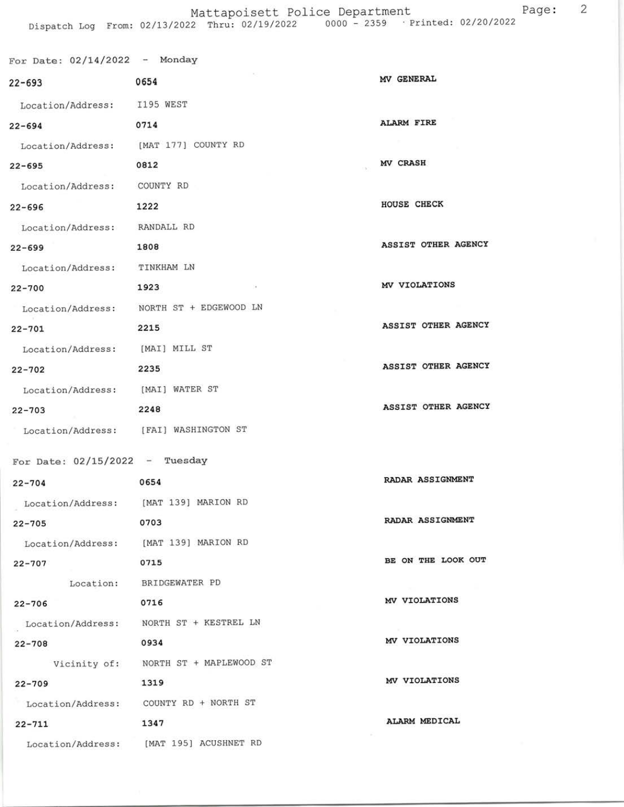## Mattapoisett Police Department<br>Dispatch Log From: 02/13/2022 Thru: 02/19/2022 0000 - 2359 Printed: 02/20/2022

| For Date: $02/14/2022$ - Monday       |                                          |                     |
|---------------------------------------|------------------------------------------|---------------------|
| $22 - 693$                            | 0654                                     | <b>MV GENERAL</b>   |
| Location/Address: I195 WEST           |                                          |                     |
| $22 - 694$                            | 0714                                     | <b>ALARM FIRE</b>   |
| Location/Address: [MAT 177] COUNTY RD |                                          |                     |
| $22 - 695$                            | 0812                                     | MV CRASH            |
| Location/Address:                     | COUNTY RD                                |                     |
| $22 - 696$                            | 1222                                     | HOUSE CHECK         |
| Location/Address: RANDALL RD          |                                          |                     |
| $22 - 699$                            | 1808                                     | ASSIST OTHER AGENCY |
| Location/Address: TINKHAM LN          |                                          |                     |
| $22 - 700$                            | 1923                                     | MV VIOLATIONS       |
|                                       | Location/Address: NORTH ST + EDGEWOOD LN |                     |
| $22 - 701$                            | 2215                                     | ASSIST OTHER AGENCY |
| Location/Address: [MAI] MILL ST       |                                          |                     |
| $22 - 702$                            | 2235                                     | ASSIST OTHER AGENCY |
| Location/Address: [MAI] WATER ST      |                                          |                     |
| $22 - 703$                            | 2248                                     | ASSIST OTHER AGENCY |
|                                       | Location/Address: [FAI] WASHINGTON ST    |                     |
| For Date: $02/15/2022 -$ Tuesday      |                                          |                     |
| $22 - 704$                            | 0654                                     | RADAR ASSIGNMENT    |
|                                       | Location/Address: [MAT 139] MARION RD    |                     |
| $22 - 705$                            | 0703                                     | RADAR ASSIGNMENT    |
|                                       | Location/Address: [MAT 139] MARION RD    |                     |
| $22 - 707$                            | 0715                                     | BE ON THE LOOK OUT  |
|                                       | Location: BRIDGEWATER PD                 |                     |
| $22 - 706$                            | 0716                                     | MV VIOLATIONS       |
|                                       | Location/Address: NORTH ST + KESTREL LN  |                     |
| $22 - 708$                            | 0934                                     | MV VIOLATIONS       |
|                                       | Vicinity of: NORTH ST + MAPLEWOOD ST     |                     |
| $22 - 709$                            | 1319                                     | MV VIOLATIONS       |
|                                       | Location/Address: COUNTY RD + NORTH ST   |                     |
| $22 - 711$                            | 1347                                     | ALARM MEDICAL       |
|                                       | Location/Address: [MAT 195] ACUSHNET RD  |                     |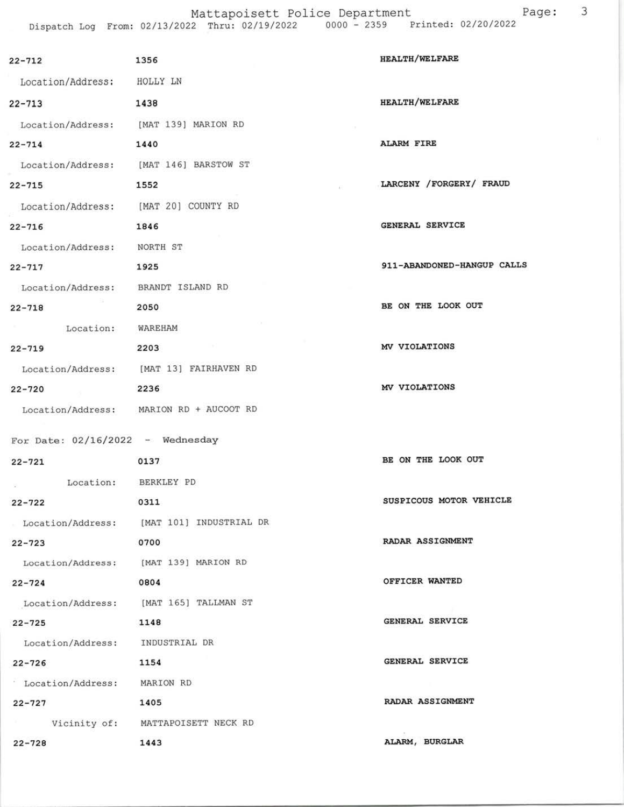| $22 - 712$                            | 1356                                      | <b>HEALTH/WELFARE</b>      |
|---------------------------------------|-------------------------------------------|----------------------------|
| Location/Address: HOLLY LN            |                                           |                            |
| $22 - 713$                            | 1438                                      | <b>HEALTH/WELFARE</b>      |
| Location/Address: [MAT 139] MARION RD |                                           |                            |
| $22 - 714$                            | 1440                                      | <b>ALARM FIRE</b>          |
|                                       | Location/Address: [MAT 146] BARSTOW ST    |                            |
| $22 - 715$                            | 1552                                      | LARCENY /FORGERY/ FRAUD    |
| Location/Address: [MAT 20] COUNTY RD  |                                           |                            |
| $22 - 716$                            | 1846                                      | GENERAL SERVICE            |
| Location/Address: NORTH ST            |                                           |                            |
| $22 - 717$                            | 1925                                      | 911-ABANDONED-HANGUP CALLS |
| Location/Address: BRANDT ISLAND RD    |                                           |                            |
| $22 - 718$                            | 2050                                      | BE ON THE LOOK OUT         |
| Location: WAREHAM                     |                                           |                            |
| $22 - 719$                            | and the state<br>2203                     | MV VIOLATIONS              |
|                                       | Location/Address: [MAT 13] FAIRHAVEN RD   |                            |
| $22 - 720$                            | 2236                                      | MV VIOLATIONS              |
|                                       | Location/Address: MARION RD + AUCOOT RD   |                            |
| For Date: $02/16/2022 -$ Wednesday    |                                           |                            |
| $22 - 721$                            | 0137                                      | BE ON THE LOOK OUT         |
| $\mathcal{L}_{\rm{c}}$                | Location: BERKLEY PD                      |                            |
| $22 - 722$                            | 0311                                      | SUSPICOUS MOTOR VEHICLE    |
|                                       | Location/Address: [MAT 101] INDUSTRIAL DR |                            |
| $22 - 723$                            | 0700                                      | RADAR ASSIGNMENT           |
|                                       | Location/Address: [MAT 139] MARION RD     |                            |
| $22 - 724$                            | 0804                                      | OFFICER WANTED             |
|                                       | Location/Address: [MAT 165] TALLMAN ST    |                            |
| $22 - 725$                            | 1148                                      | GENERAL SERVICE            |
| Location/Address: INDUSTRIAL DR       |                                           |                            |
| $22 - 726$                            | 1154                                      | GENERAL SERVICE            |
| Location/Address: MARION RD           |                                           |                            |
| $22 - 727$                            | 1405                                      | RADAR ASSIGNMENT           |
|                                       | Vicinity of: MATTAPOISETT NECK RD         |                            |
| $22 - 728$                            | 1443                                      | ALARM, BURGLAR             |

Page: <sup>3</sup>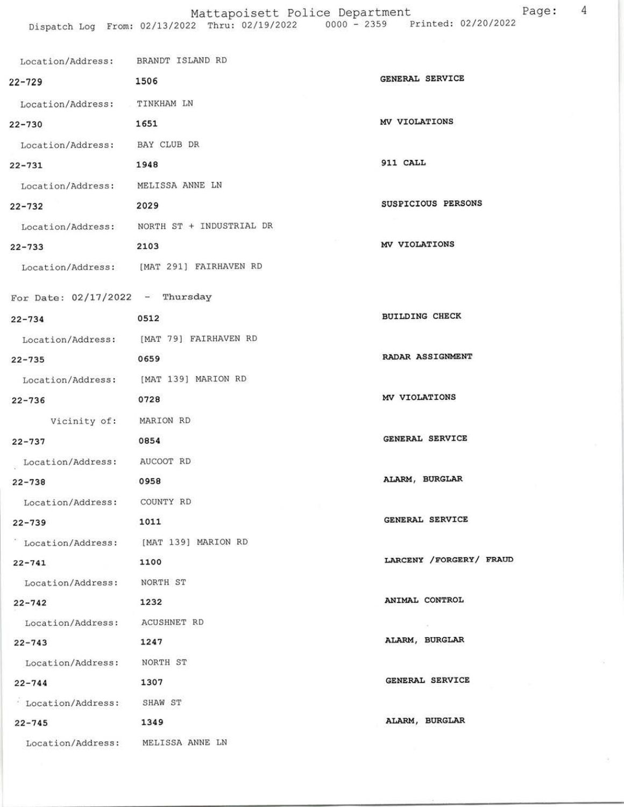## Mattapoisett Police Department Page: 4

| Location/Address: BRANDT ISLAND RD |                                            |                         |
|------------------------------------|--------------------------------------------|-------------------------|
| $22 - 729$                         | 1506                                       | GENERAL SERVICE         |
| Location/Address: TINKHAM LN       |                                            |                         |
| $22 - 730$                         | 1651                                       | MV VIOLATIONS           |
| Location/Address: BAY CLUB DR      |                                            |                         |
| $22 - 731$                         | 1948                                       | 911 CALL                |
| Location/Address: MELISSA ANNE LN  |                                            |                         |
| $22 - 732$                         | 2029                                       | SUSPICIOUS PERSONS      |
|                                    | Location/Address: NORTH ST + INDUSTRIAL DR |                         |
| $22 - 733$                         | 2103                                       | MV VIOLATIONS           |
|                                    | Location/Address: [MAT 291] FAIRHAVEN RD   |                         |
| For Date: $02/17/2022$ - Thursday  |                                            |                         |
| $22 - 734$                         | 0512                                       | <b>BUILDING CHECK</b>   |
|                                    | Location/Address: [MAT 79] FAIRHAVEN RD    |                         |
| $22 - 735$                         | 0659                                       | RADAR ASSIGNMENT        |
|                                    | Location/Address: [MAT 139] MARION RD      |                         |
| $22 - 736$                         | 0728                                       | MV VIOLATIONS           |
| Vicinity of: MARION RD             |                                            |                         |
| $22 - 737$                         | 0854                                       | GENERAL SERVICE         |
| Location/Address: AUCOOT RD        |                                            |                         |
| $22 - 738$                         | 0958                                       | ALARM, BURGLAR          |
| Location/Address: COUNTY RD        |                                            |                         |
| $22 - 739$                         | 1011                                       | GENERAL SERVICE         |
|                                    | ' Location/Address: [MAT 139] MARION RD    |                         |
| $22 - 741$                         | 1100                                       | LARCENY /FORGERY/ FRAUD |
| Location/Address: NORTH ST         |                                            |                         |
| $22 - 742$                         | 1232                                       | ANIMAL CONTROL          |
| Location/Address: ACUSHNET RD      |                                            |                         |
| $22 - 743$                         | 1247                                       | ALARM, BURGLAR          |
| Location/Address: NORTH ST         |                                            |                         |
| $22 - 744$                         | 1307                                       | GENERAL SERVICE         |
| Location/Address:                  | SHAW ST                                    |                         |
| $22 - 745$                         | 1349                                       | ALARM, BURGLAR          |
| Location/Address: MELISSA ANNE LN  |                                            |                         |

ś,

ä.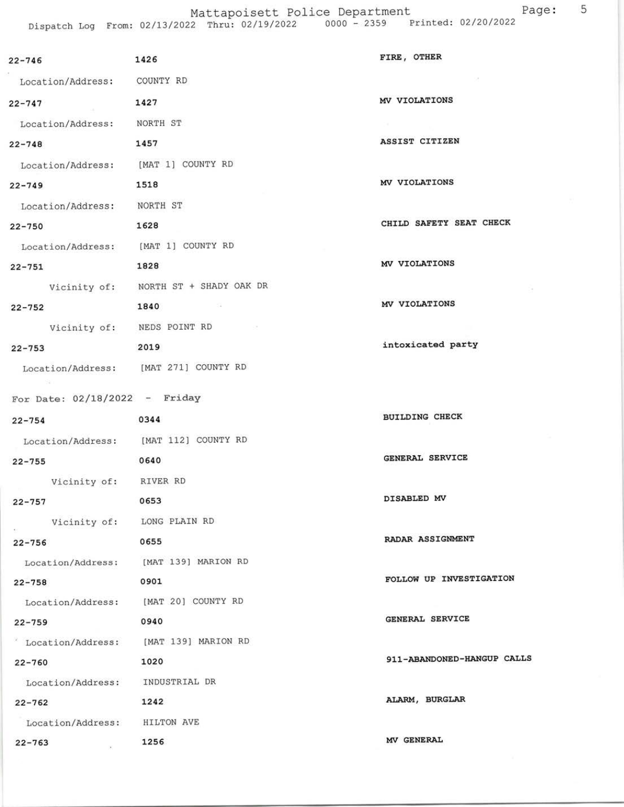Mattapoisett Police Department Page: 5 Dispatch Log From: 02/13/2022 Thru: 02/19/2022 0000 - 2359 Printed: 02/20/2022

| $22 - 746$                          | 1426                                  | FIRE, OTHER                |
|-------------------------------------|---------------------------------------|----------------------------|
| Location/Address: COUNTY RD         |                                       |                            |
| $22 - 747$                          | 1427                                  | MV VIOLATIONS              |
| Location/Address: NORTH ST          |                                       |                            |
| $22 - 748$                          | 1457                                  | ASSIST CITIZEN             |
| Location/Address: [MAT 1] COUNTY RD |                                       |                            |
| $22 - 749$                          | 1518                                  | MV VIOLATIONS              |
| Location/Address: NORTH ST          |                                       |                            |
| $22 - 750$                          | 1628                                  | CHILD SAFETY SEAT CHECK    |
| Location/Address: [MAT 1] COUNTY RD |                                       |                            |
| $22 - 751$                          | 1828                                  | MV VIOLATIONS              |
|                                     | Vicinity of: NORTH ST + SHADY OAK DR  |                            |
| $22 - 752$                          | 1840                                  | MV VIOLATIONS              |
|                                     | Vicinity of: NEDS POINT RD            |                            |
| $22 - 753$                          | 2019                                  | intoxicated party          |
|                                     | Location/Address: [MAT 271] COUNTY RD |                            |
| For Date: $02/18/2022 -$ Friday     |                                       |                            |
| $22 - 754$                          | 0344                                  | <b>BUILDING CHECK</b>      |
|                                     | Location/Address: [MAT 112] COUNTY RD |                            |
| $22 - 755$                          | 0640                                  | GENERAL SERVICE            |
| Vicinity of: RIVER RD               |                                       |                            |
| $22 - 757$                          | 0653                                  | DISABLED MV                |
|                                     | Vicinity of: LONG PLAIN RD            |                            |
| $22 - 756$                          | 0655                                  | RADAR ASSIGNMENT           |
|                                     | Location/Address: [MAT 139] MARION RD |                            |
| $22 - 758$                          | 0901                                  | FOLLOW UP INVESTIGATION    |
|                                     | Location/Address: [MAT 20] COUNTY RD  |                            |
| $22 - 759$                          | 0940                                  | GENERAL SERVICE            |
| Location/Address:                   | [MAT 139] MARION RD                   |                            |
| $22 - 760$                          | 1020                                  | 911-ABANDONED-HANGUP CALLS |
| Location/Address: INDUSTRIAL DR     |                                       |                            |
| $22 - 762$                          | 1242                                  | ALARM, BURGLAR             |
| Location/Address: HILTON AVE        |                                       |                            |
| $22 - 763$                          | 1256                                  | MV GENERAL                 |
|                                     |                                       |                            |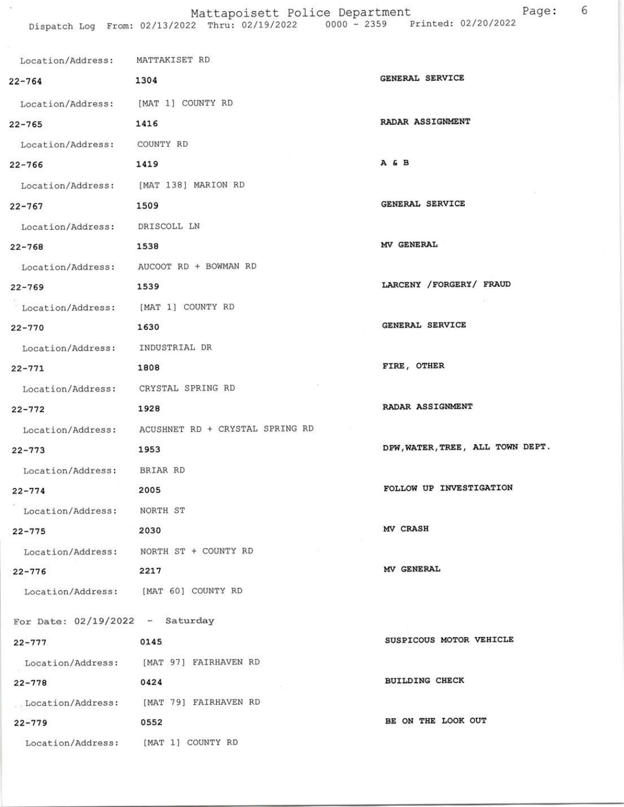## Mattapoisett Police Department Page: 6

 $\tilde{\mathbf{x}}$ 

| Location/Address: MATTAKISET RD       |                                                   |                                  |
|---------------------------------------|---------------------------------------------------|----------------------------------|
| $22 - 764$                            | 1304                                              | <b>GENERAL SERVICE</b>           |
| Location/Address: [MAT 1] COUNTY RD   |                                                   |                                  |
| $22 - 765$                            | 1416                                              | RADAR ASSIGNMENT                 |
| Location/Address: COUNTY RD           |                                                   |                                  |
| $22 - 766$                            | 1419                                              | A & B                            |
| Location/Address: [MAT 138] MARION RD |                                                   |                                  |
| $22 - 767$                            | 1509                                              | GENERAL SERVICE                  |
| Location/Address: DRISCOLL LN         |                                                   |                                  |
| $22 - 768$                            | 1538                                              | MV GENERAL                       |
|                                       | Location/Address: AUCOOT RD + BOWMAN RD           |                                  |
| $22 - 769$                            | 1539                                              | LARCENY / FORGERY / FRAUD        |
| Location/Address: [MAT 1] COUNTY RD   |                                                   |                                  |
| $22 - 770$                            | 1630                                              | GENERAL SERVICE                  |
| Location/Address: INDUSTRIAL DR       |                                                   |                                  |
| $22 - 771$                            | 1808                                              | FIRE, OTHER                      |
| Location/Address: CRYSTAL SPRING RD   |                                                   |                                  |
| $22 - 772$                            | 1928                                              | RADAR ASSIGNMENT                 |
|                                       | Location/Address: ACUSHNET RD + CRYSTAL SPRING RD |                                  |
| $22 - 773$                            | 1953                                              | DPW, WATER, TREE, ALL TOWN DEPT. |
| Location/Address: BRIAR RD            |                                                   |                                  |
| $22 - 774$                            | 2005                                              | FOLLOW UP INVESTIGATION          |
| Location/Address:                     | NORTH ST                                          |                                  |
| $22 - 775$                            | 2030                                              | MV CRASH                         |
|                                       | Location/Address: NORTH ST + COUNTY RD            |                                  |
| $22 - 776$                            | 2217                                              | MV GENERAL                       |
| Location/Address: [MAT 60] COUNTY RD  |                                                   |                                  |
| For Date: $02/19/2022 -$ Saturday     |                                                   |                                  |
| $22 - 777$                            | 0145                                              | SUSPICOUS MOTOR VEHICLE          |
|                                       | Location/Address: [MAT 97] FAIRHAVEN RD           |                                  |
| $22 - 778$                            | 0424                                              | <b>BUILDING CHECK</b>            |
|                                       | .Location/Address: [MAT 79] FAIRHAVEN RD          |                                  |
| $22 - 779$                            | 0552                                              | BE ON THE LOOK OUT               |
| Location/Address: [MAT 1] COUNTY RD   |                                                   |                                  |